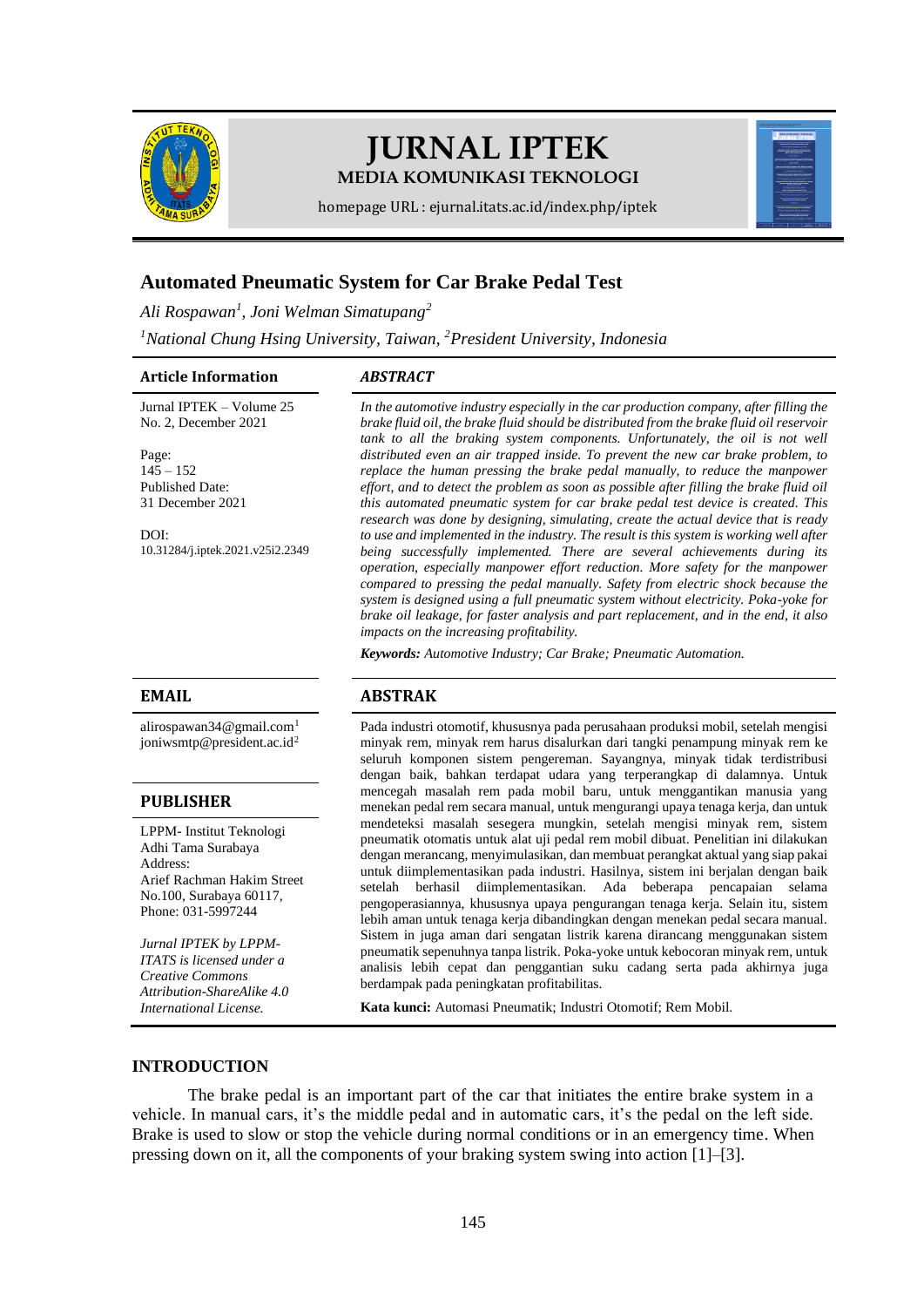

# **JURNAL IPTEK MEDIA KOMUNIKASI TEKNOLOGI**

homepage URL : ejurnal.itats.ac.id/index.php/iptek

# **Automated Pneumatic System for Car Brake Pedal Test**

*Ali Rospawan<sup>1</sup> , Joni Welman Simatupang<sup>2</sup>*

*<sup>1</sup>National Chung Hsing University, Taiwan, <sup>2</sup>President University, Indonesia*

#### **Article Information** *ABSTRACT*

Jurnal IPTEK – Volume 25 No. 2, December 2021

Page:  $145 - 152$ Published Date: 31 December 2021

DOI: [10.31284/j.iptek.2021.v25i2.2349](https://doi.org/10.31284/j.iptek.2021.v25i2.2349)

[alirospawan34@gmail.com](mailto:alirospawan34@gmail.com)<sup>1</sup> [joniwsmtp@president.ac.id](mailto:joniwsmtp@president.ac.id)<sup>2</sup>

### **PUBLISHER**

LPPM- Institut Teknologi Adhi Tama Surabaya Address: Arief Rachman Hakim Street No.100, Surabaya 60117, Phone: 031-5997244

*Jurnal IPTEK by LPPM-ITATS is licensed under a Creative Commons Attribution-ShareAlike 4.0 International License.*

*In the automotive industry especially in the car production company, after filling the brake fluid oil, the brake fluid should be distributed from the brake fluid oil reservoir tank to all the braking system components. Unfortunately, the oil is not well distributed even an air trapped inside. To prevent the new car brake problem, to replace the human pressing the brake pedal manually, to reduce the manpower effort, and to detect the problem as soon as possible after filling the brake fluid oil this automated pneumatic system for car brake pedal test device is created. This research was done by designing, simulating, create the actual device that is ready to use and implemented in the industry. The result is this system is working well after being successfully implemented. There are several achievements during its operation, especially manpower effort reduction. More safety for the manpower compared to pressing the pedal manually. Safety from electric shock because the system is designed using a full pneumatic system without electricity. Poka-yoke for brake oil leakage, for faster analysis and part replacement, and in the end, it also impacts on the increasing profitability.*

*Keywords: Automotive Industry; Car Brake; Pneumatic Automation.*

# **EMAIL ABSTRAK**

Pada industri otomotif, khususnya pada perusahaan produksi mobil, setelah mengisi minyak rem, minyak rem harus disalurkan dari tangki penampung minyak rem ke seluruh komponen sistem pengereman. Sayangnya, minyak tidak terdistribusi dengan baik, bahkan terdapat udara yang terperangkap di dalamnya. Untuk mencegah masalah rem pada mobil baru, untuk menggantikan manusia yang menekan pedal rem secara manual, untuk mengurangi upaya tenaga kerja, dan untuk mendeteksi masalah sesegera mungkin, setelah mengisi minyak rem, sistem pneumatik otomatis untuk alat uji pedal rem mobil dibuat. Penelitian ini dilakukan dengan merancang, menyimulasikan, dan membuat perangkat aktual yang siap pakai untuk diimplementasikan pada industri. Hasilnya, sistem ini berjalan dengan baik setelah berhasil diimplementasikan. Ada beberapa pencapaian selama pengoperasiannya, khususnya upaya pengurangan tenaga kerja. Selain itu, sistem lebih aman untuk tenaga kerja dibandingkan dengan menekan pedal secara manual. Sistem in juga aman dari sengatan listrik karena dirancang menggunakan sistem pneumatik sepenuhnya tanpa listrik. Poka-yoke untuk kebocoran minyak rem, untuk analisis lebih cepat dan penggantian suku cadang serta pada akhirnya juga berdampak pada peningkatan profitabilitas.

**Kata kunci:** Automasi Pneumatik; Industri Otomotif; Rem Mobil.

### **INTRODUCTION**

The brake pedal is an important part of the car that initiates the entire brake system in a vehicle. In manual cars, it's the middle pedal and in automatic cars, it's the pedal on the left side. Brake is used to slow or stop the vehicle during normal conditions or in an emergency time. When pressing down on it, all the components of your braking system swing into action [1]–[3].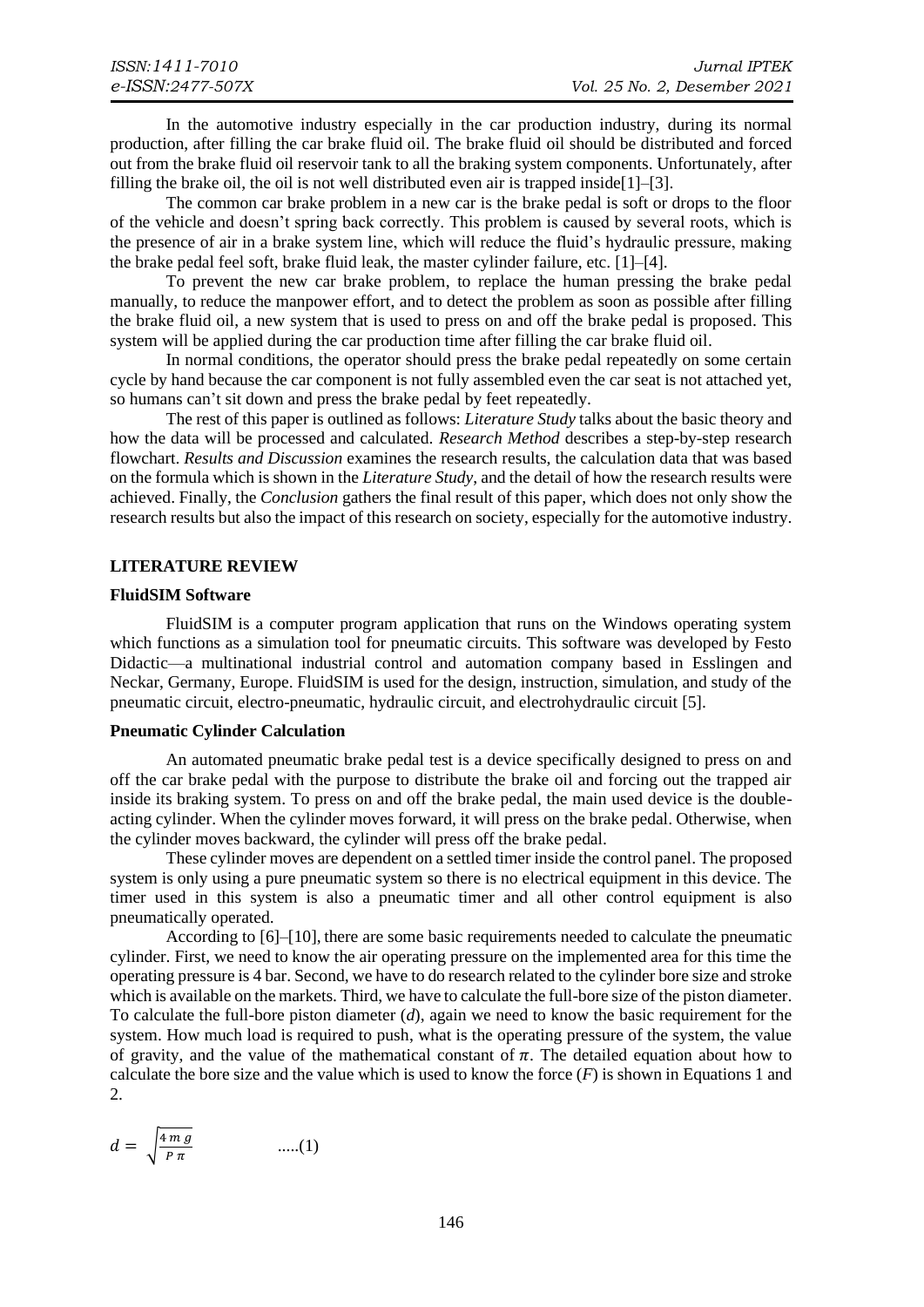In the automotive industry especially in the car production industry, during its normal production, after filling the car brake fluid oil. The brake fluid oil should be distributed and forced out from the brake fluid oil reservoir tank to all the braking system components. Unfortunately, after filling the brake oil, the oil is not well distributed even air is trapped inside[1]–[3].

The common car brake problem in a new car is the brake pedal is soft or drops to the floor of the vehicle and doesn't spring back correctly. This problem is caused by several roots, which is the presence of air in a brake system line, which will reduce the fluid's hydraulic pressure, making the brake pedal feel soft, brake fluid leak, the master cylinder failure, etc. [1]–[4].

To prevent the new car brake problem, to replace the human pressing the brake pedal manually, to reduce the manpower effort, and to detect the problem as soon as possible after filling the brake fluid oil, a new system that is used to press on and off the brake pedal is proposed. This system will be applied during the car production time after filling the car brake fluid oil.

In normal conditions, the operator should press the brake pedal repeatedly on some certain cycle by hand because the car component is not fully assembled even the car seat is not attached yet, so humans can't sit down and press the brake pedal by feet repeatedly.

The rest of this paper is outlined as follows: *Literature Study* talks about the basic theory and how the data will be processed and calculated. *Research Method* describes a step-by-step research flowchart. *Results and Discussion* examines the research results, the calculation data that was based on the formula which is shown in the *Literature Study*, and the detail of how the research results were achieved. Finally, the *Conclusion* gathers the final result of this paper, which does not only show the research results but also the impact of this research on society, especially for the automotive industry.

#### **LITERATURE REVIEW**

#### **FluidSIM Software**

FluidSIM is a computer program application that runs on the Windows operating system which functions as a simulation tool for pneumatic circuits. This software was developed by Festo Didactic—a multinational industrial control and automation company based in Esslingen and Neckar, Germany, Europe. FluidSIM is used for the design, instruction, simulation, and study of the pneumatic circuit, electro-pneumatic, hydraulic circuit, and electrohydraulic circuit [5].

#### **Pneumatic Cylinder Calculation**

An automated pneumatic brake pedal test is a device specifically designed to press on and off the car brake pedal with the purpose to distribute the brake oil and forcing out the trapped air inside its braking system. To press on and off the brake pedal, the main used device is the doubleacting cylinder. When the cylinder moves forward, it will press on the brake pedal. Otherwise, when the cylinder moves backward, the cylinder will press off the brake pedal.

These cylinder moves are dependent on a settled timer inside the control panel. The proposed system is only using a pure pneumatic system so there is no electrical equipment in this device. The timer used in this system is also a pneumatic timer and all other control equipment is also pneumatically operated.

According to [6]–[10], there are some basic requirements needed to calculate the pneumatic cylinder. First, we need to know the air operating pressure on the implemented area for this time the operating pressure is 4 bar. Second, we have to do research related to the cylinder bore size and stroke which is available on the markets. Third, we have to calculate the full-bore size of the piston diameter. To calculate the full-bore piston diameter (*d*), again we need to know the basic requirement for the system. How much load is required to push, what is the operating pressure of the system, the value of gravity, and the value of the mathematical constant of  $\pi$ . The detailed equation about how to calculate the bore size and the value which is used to know the force  $(F)$  is shown in Equations 1 and 2.

$$
d = \sqrt{\frac{4 mg}{P \pi}} \qquad \qquad \dots (1)
$$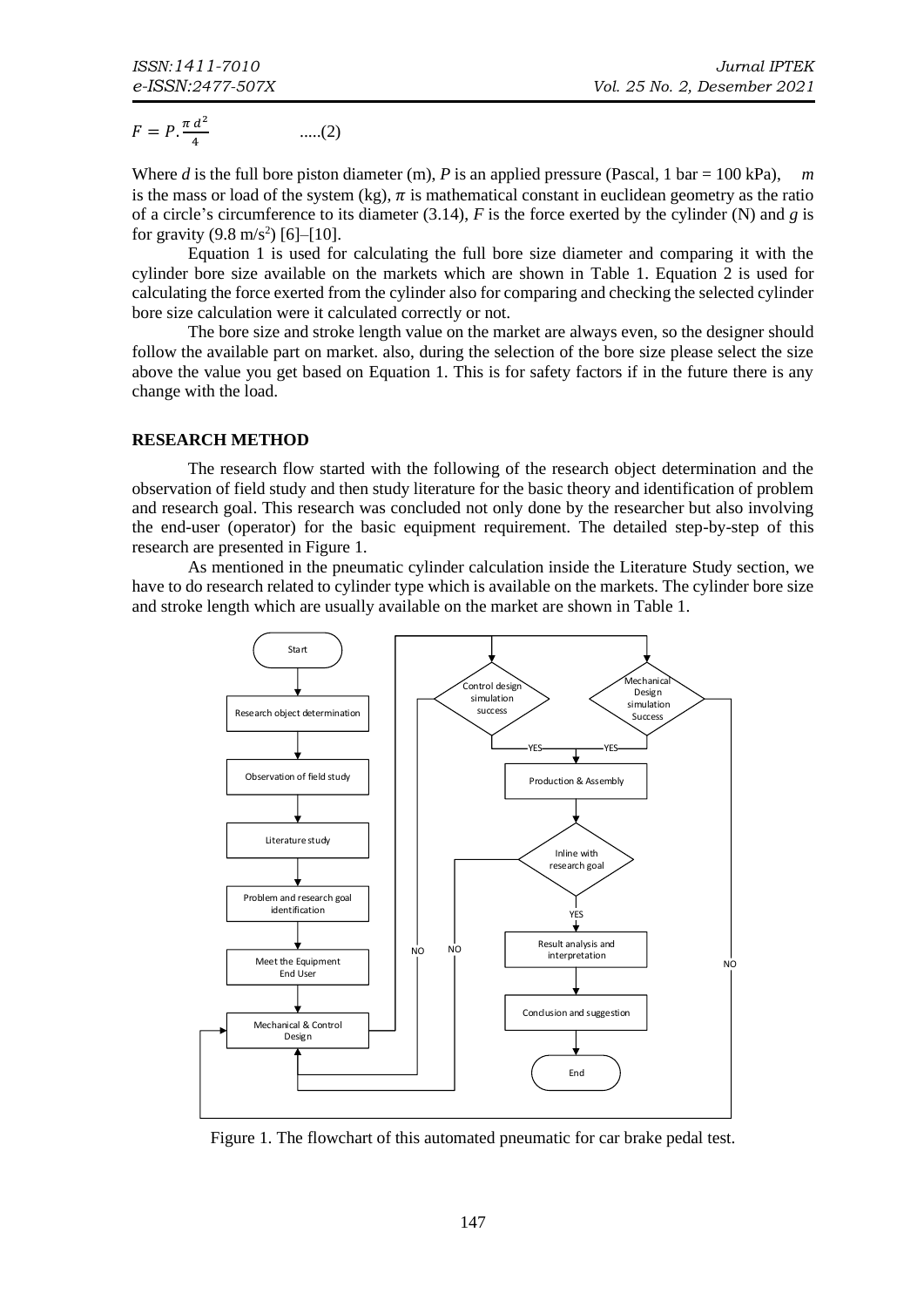$$
F = P \cdot \frac{\pi \, d^2}{4} \qquad \qquad \dots (2)
$$

Where *d* is the full bore piston diameter (m), *P* is an applied pressure (Pascal, 1 bar = 100 kPa), *m* is the mass or load of the system (kg),  $\pi$  is mathematical constant in euclidean geometry as the ratio of a circle's circumference to its diameter (3.14), *F* is the force exerted by the cylinder (N) and *g* is for gravity  $(9.8 \text{ m/s}^2)$  [6]–[10].

Equation 1 is used for calculating the full bore size diameter and comparing it with the cylinder bore size available on the markets which are shown in [Table 1.](#page-2-0) Equation 2 is used for calculating the force exerted from the cylinder also for comparing and checking the selected cylinder bore size calculation were it calculated correctly or not.

The bore size and stroke length value on the market are always even, so the designer should follow the available part on market. also, during the selection of the bore size please select the size above the value you get based on Equation 1. This is for safety factors if in the future there is any change with the load.

#### **RESEARCH METHOD**

The research flow started with the following of the research object determination and the observation of field study and then study literature for the basic theory and identification of problem and research goal. This research was concluded not only done by the researcher but also involving the end-user (operator) for the basic equipment requirement. The detailed step-by-step of this research are presented in [Figure 1.](#page-2-1)

As mentioned in the pneumatic cylinder calculation inside the Literature Study section, we have to do research related to cylinder type which is available on the markets. The cylinder bore size and stroke length which are usually available on the market are shown i[n Table 1.](#page-2-0)



<span id="page-2-1"></span><span id="page-2-0"></span>Figure 1. The flowchart of this automated pneumatic for car brake pedal test.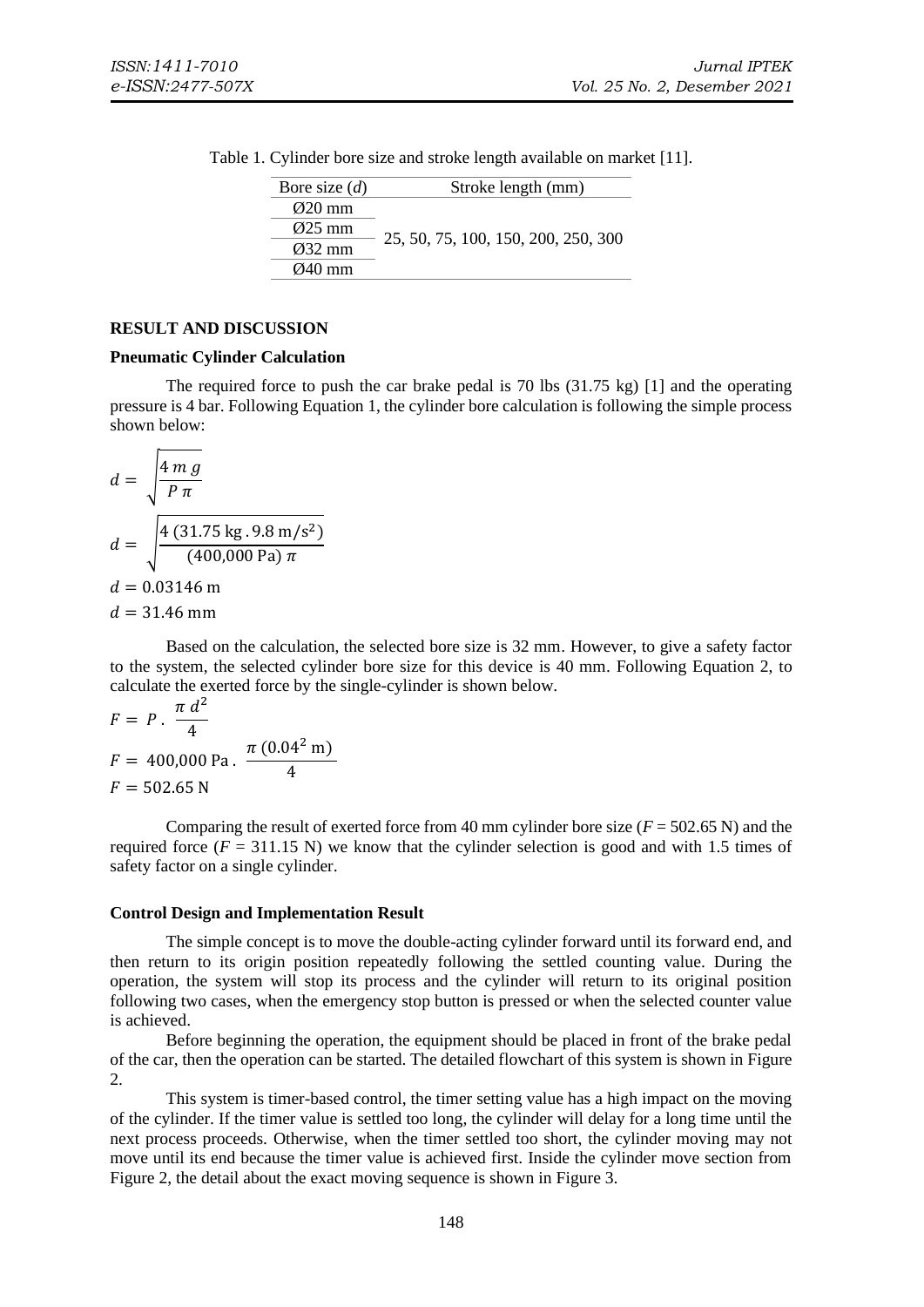| Bore size $(d)$     | Stroke length (mm)                  |
|---------------------|-------------------------------------|
| $\varnothing$ 20 mm |                                     |
| $\varnothing$ 25 mm |                                     |
| $\varnothing$ 32 mm | 25, 50, 75, 100, 150, 200, 250, 300 |
| $\varnothing$ 40 mm |                                     |

Table 1. Cylinder bore size and stroke length available on market [11].

#### **RESULT AND DISCUSSION**

#### **Pneumatic Cylinder Calculation**

The required force to push the car brake pedal is 70 lbs  $(31.75 \text{ kg})$  [1] and the operating pressure is 4 bar. Following Equation 1, the cylinder bore calculation is following the simple process shown below:

$$
d = \sqrt{\frac{4 mg}{P \pi}}
$$
  
\n
$$
d = \sqrt{\frac{4 (31.75 \text{ kg}.9.8 \text{ m/s}^2)}{(400,000 \text{ Pa}) \pi}}
$$
  
\n
$$
d = 0.03146 \text{ m}
$$
  
\n
$$
d = 31.46 \text{ mm}
$$

Based on the calculation, the selected bore size is 32 mm. However, to give a safety factor to the system, the selected cylinder bore size for this device is 40 mm. Following Equation 2, to calculate the exerted force by the single-cylinder is shown below.

$$
F = P \cdot \frac{\pi d^2}{4}
$$
  
F = 400,000 Pa.  $\frac{\pi (0.04^2 \text{ m})}{4}$   
F = 502.65 N

Comparing the result of exerted force from 40 mm cylinder bore size  $(F = 502.65 \text{ N})$  and the required force  $(F = 311.15 \text{ N})$  we know that the cylinder selection is good and with 1.5 times of safety factor on a single cylinder.

#### **Control Design and Implementation Result**

The simple concept is to move the double-acting cylinder forward until its forward end, and then return to its origin position repeatedly following the settled counting value. During the operation, the system will stop its process and the cylinder will return to its original position following two cases, when the emergency stop button is pressed or when the selected counter value is achieved.

Before beginning the operation, the equipment should be placed in front of the brake pedal of the car, then the operation can be started. The detailed flowchart of this system is shown i[n Figure](#page-4-0)  [2.](#page-4-0)

This system is timer-based control, the timer setting value has a high impact on the moving of the cylinder. If the timer value is settled too long, the cylinder will delay for a long time until the next process proceeds. Otherwise, when the timer settled too short, the cylinder moving may not move until its end because the timer value is achieved first. Inside the cylinder move section from [Figure 2,](#page-4-0) the detail about the exact moving sequence is shown in [Figure 3.](#page-4-1)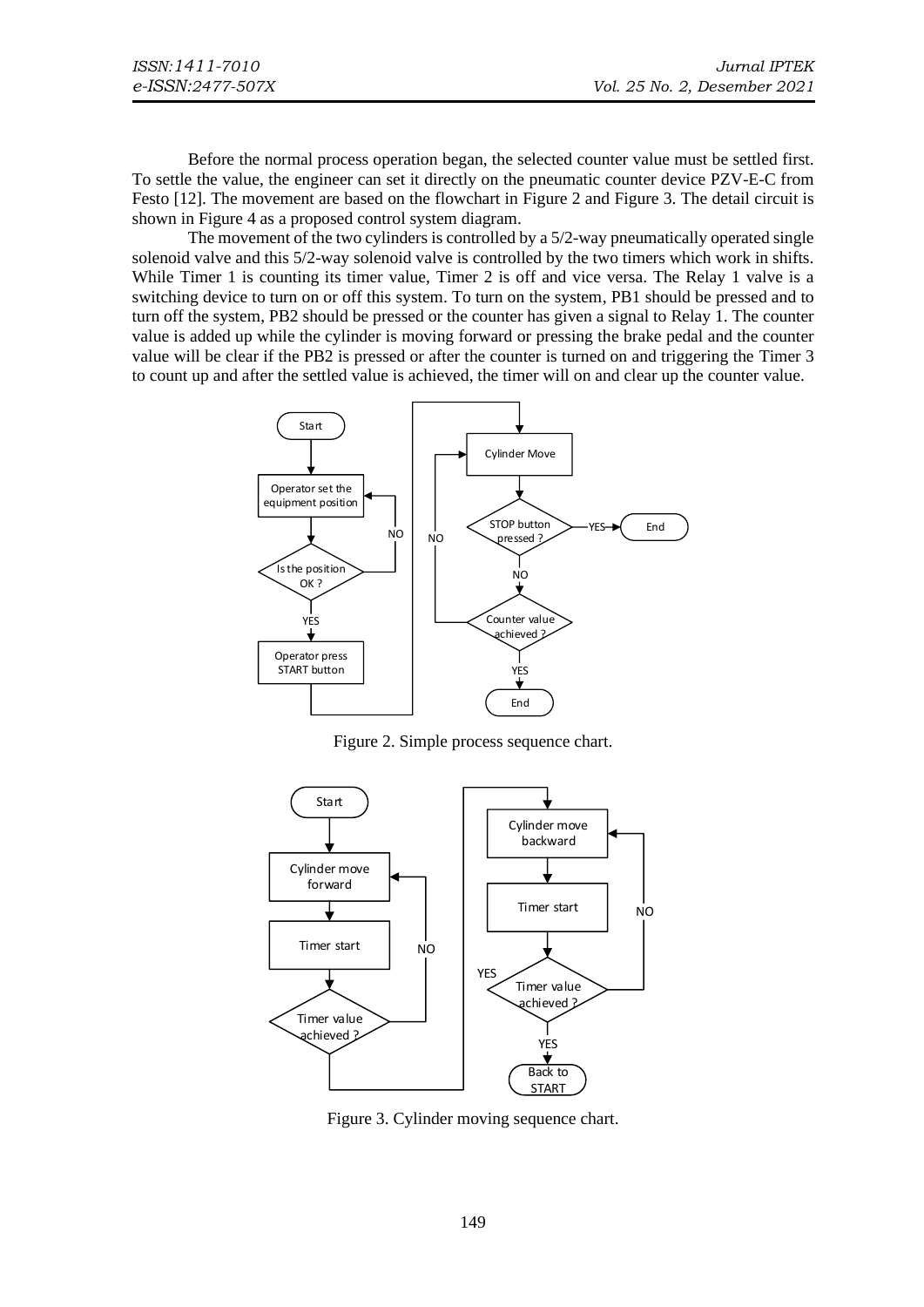Before the normal process operation began, the selected counter value must be settled first. To settle the value, the engineer can set it directly on the pneumatic counter device PZV-E-C from Festo [12]. The movement are based on the flowchart in [Figure 2](#page-4-0) an[d Figure 3.](#page-4-1) The detail circuit is shown in [Figure 4](#page-5-0) as a proposed control system diagram.

The movement of the two cylinders is controlled by a 5/2-way pneumatically operated single solenoid valve and this 5/2-way solenoid valve is controlled by the two timers which work in shifts. While Timer 1 is counting its timer value, Timer 2 is off and vice versa. The Relay 1 valve is a switching device to turn on or off this system. To turn on the system, PB1 should be pressed and to turn off the system, PB2 should be pressed or the counter has given a signal to Relay 1. The counter value is added up while the cylinder is moving forward or pressing the brake pedal and the counter value will be clear if the PB2 is pressed or after the counter is turned on and triggering the Timer 3 to count up and after the settled value is achieved, the timer will on and clear up the counter value.



Figure 2. Simple process sequence chart.

<span id="page-4-0"></span>

<span id="page-4-1"></span>Figure 3. Cylinder moving sequence chart.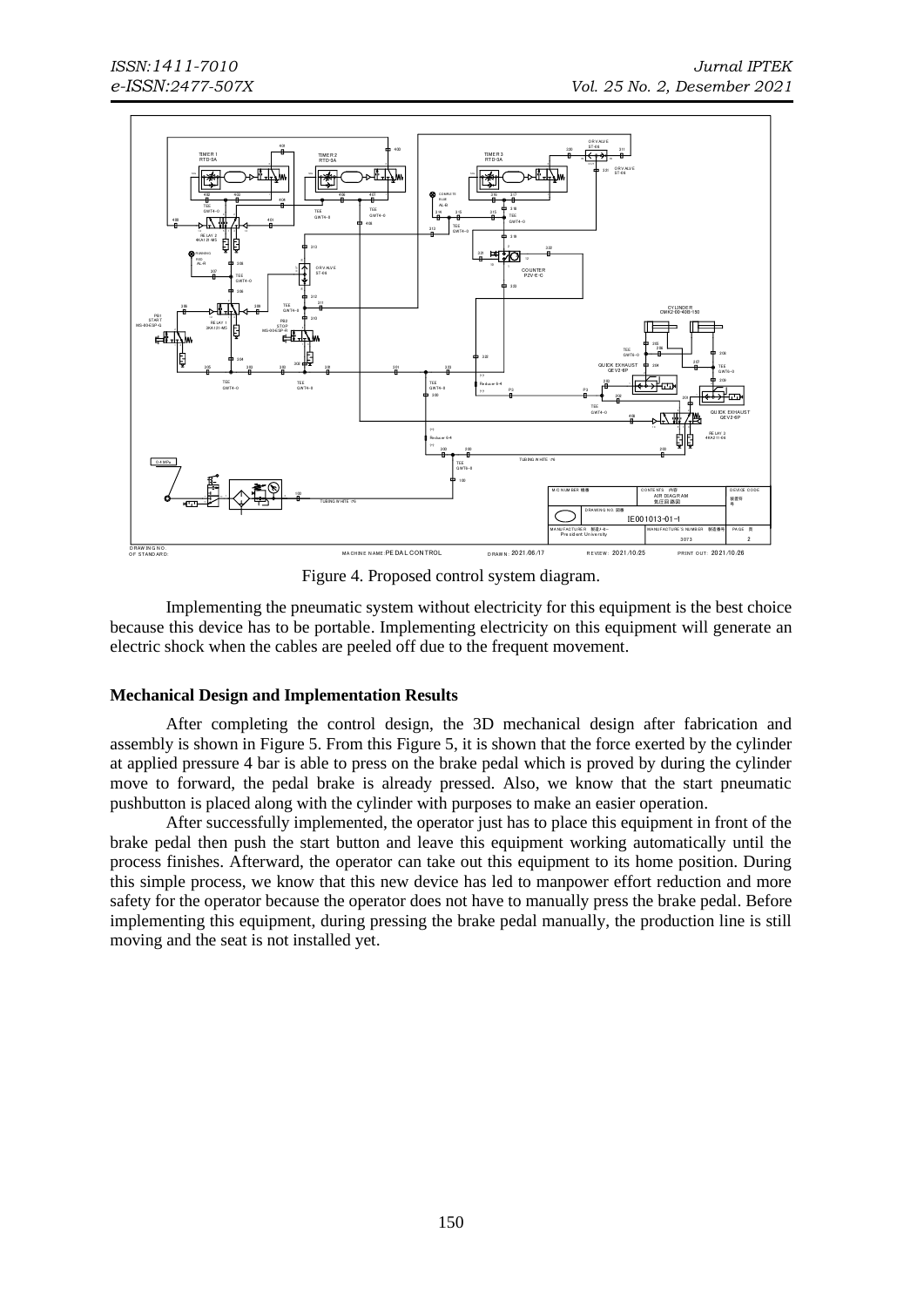

Figure 4. Proposed control system diagram.

<span id="page-5-0"></span>Implementing the pneumatic system without electricity for this equipment is the best choice because this device has to be portable. Implementing electricity on this equipment will generate an electric shock when the cables are peeled off due to the frequent movement.

#### **Mechanical Design and Implementation Results**

After completing the control design, the 3D mechanical design after fabrication and assembly is shown in [Figure 5.](#page-6-0) From this [Figure 5,](#page-6-0) it is shown that the force exerted by the cylinder at applied pressure 4 bar is able to press on the brake pedal which is proved by during the cylinder move to forward, the pedal brake is already pressed. Also, we know that the start pneumatic pushbutton is placed along with the cylinder with purposes to make an easier operation.

After successfully implemented, the operator just has to place this equipment in front of the brake pedal then push the start button and leave this equipment working automatically until the process finishes. Afterward, the operator can take out this equipment to its home position. During this simple process, we know that this new device has led to manpower effort reduction and more safety for the operator because the operator does not have to manually press the brake pedal. Before implementing this equipment, during pressing the brake pedal manually, the production line is still moving and the seat is not installed yet.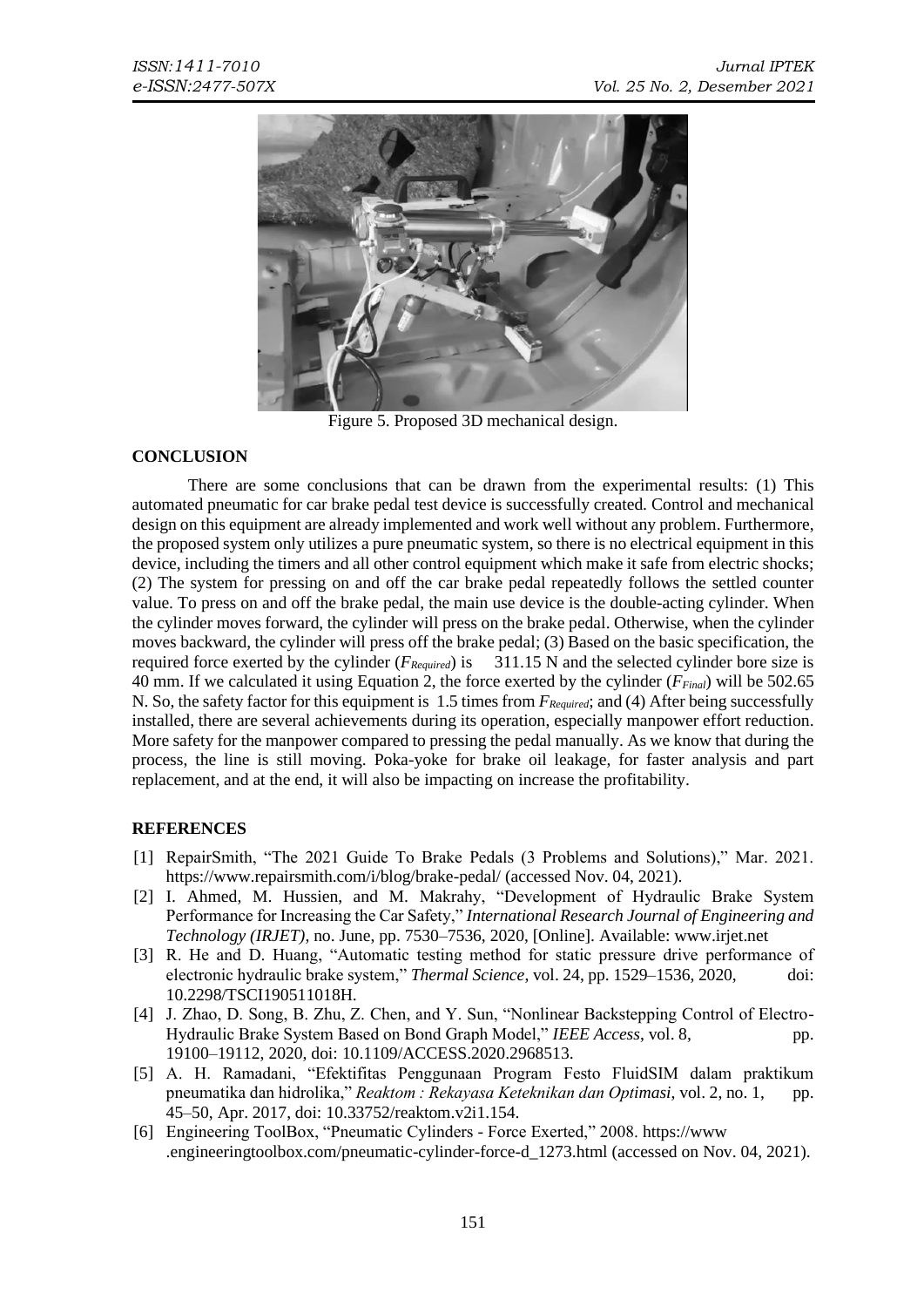

Figure 5. Proposed 3D mechanical design.

## <span id="page-6-0"></span>**CONCLUSION**

There are some conclusions that can be drawn from the experimental results: (1) This automated pneumatic for car brake pedal test device is successfully created. Control and mechanical design on this equipment are already implemented and work well without any problem. Furthermore, the proposed system only utilizes a pure pneumatic system, so there is no electrical equipment in this device, including the timers and all other control equipment which make it safe from electric shocks; (2) The system for pressing on and off the car brake pedal repeatedly follows the settled counter value. To press on and off the brake pedal, the main use device is the double-acting cylinder. When the cylinder moves forward, the cylinder will press on the brake pedal. Otherwise, when the cylinder moves backward, the cylinder will press off the brake pedal; (3) Based on the basic specification, the required force exerted by the cylinder (*FRequired*) is 311.15 N and the selected cylinder bore size is 40 mm. If we calculated it using Equation 2, the force exerted by the cylinder (*FFinal*) will be 502.65 N. So, the safety factor for this equipment is 1.5 times from *FRequired*; and (4) After being successfully installed, there are several achievements during its operation, especially manpower effort reduction. More safety for the manpower compared to pressing the pedal manually. As we know that during the process, the line is still moving. Poka-yoke for brake oil leakage, for faster analysis and part replacement, and at the end, it will also be impacting on increase the profitability.

# **REFERENCES**

- [1] RepairSmith, "The 2021 Guide To Brake Pedals (3 Problems and Solutions)," Mar. 2021. <https://www.repairsmith.com/i/blog/brake-pedal/> (accessed Nov. 04, 2021).
- [2] I. Ahmed, M. Hussien, and M. Makrahy, "Development of Hydraulic Brake System Performance for Increasing the Car Safety," *International Research Journal of Engineering and Technology (IRJET)*, no. June, pp. 7530–7536, 2020, [Online]. Available: [www.irjet.net](https://www.irjet.net/archives/V7/i6/IRJET-V7I61392.pdf)
- [3] R. He and D. Huang, "Automatic testing method for static pressure drive performance of electronic hydraulic brake system," *Thermal Science*, vol. 24, pp. 1529–1536, 2020, doi: [10.2298/TSCI190511018H.](https://doi.org/10.2298/TSCI190511018H)
- [4] J. Zhao, D. Song, B. Zhu, Z. Chen, and Y. Sun, "Nonlinear Backstepping Control of Electro-Hydraulic Brake System Based on Bond Graph Model," *IEEE Access*, vol. 8, pp. 19100–19112, 2020, doi: [10.1109/ACCESS.2020.2968513.](https://doi.org/10.1109/ACCESS.2020.2968513)
- [5] A. H. Ramadani, "Efektifitas Penggunaan Program Festo FluidSIM dalam praktikum pneumatika dan hidrolika," *Reaktom : Rekayasa Keteknikan dan Optimasi*, vol. 2, no. 1, pp. 45–50, Apr. 2017, doi: [10.33752/reaktom.v2i1.154.](https://doi.org/10.1109/ACCESS.2020.2968513)
- [6] Engineering ToolBox, "Pneumatic Cylinders Force Exerted," 2008. [https://www](https://www.engineeringtoolbox.com/pneumatic-cylinder-force-d_1273.html) [.engineeringtoolbox.com/pneumatic-cylinder-force-d\\_1273.html](https://www.engineeringtoolbox.com/pneumatic-cylinder-force-d_1273.html) (accessed on Nov. 04, 2021).